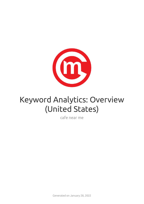

# Keyword Analytics: Overview (United States)

cafe near me

Generated on January 28, 2022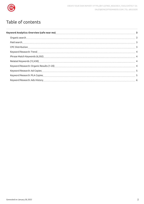

## Table of contents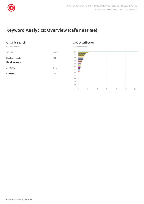

## <span id="page-2-0"></span>**Keyword Analytics: Overview (cafe near me)**

#### <span id="page-2-1"></span>**Organic search**

US | cafe near me

<span id="page-2-2"></span>

| Volume             | 368.0K |
|--------------------|--------|
| Number of results  | 5.7B   |
| <b>Paid search</b> |        |
| CPC (USD)          | 2.28   |
| Competition        | 0.05   |
|                    |        |

#### <span id="page-2-3"></span>**CPC Distribution**

US | cafe near me

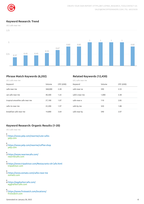

#### <span id="page-3-0"></span>**Keyword Research: Trend**

US | cafe near me



#### <span id="page-3-1"></span>**Phrase Match Keywords (6,202)**

#### <span id="page-3-2"></span>**Related Keywords (12,430)**

| US   cafe near me              |         |           | US   cafe near me |        |           |  |
|--------------------------------|---------|-----------|-------------------|--------|-----------|--|
| Keyword                        | Volume  | CPC (USD) | Keyword           | Volume | CPC (USD) |  |
| cafe near me                   | 368,000 | 2.28      | cafe near ne      | 590    | 2.33      |  |
| cat cafe near me               | 40,500  | 1.22      | cafe's near me    | 1,000  | 3.38      |  |
| tropical smoothie cafe near me | 27,100  | 1.07      | cafe near e       | 110    | 2.85      |  |
| cafe rio near me               | 22,200  | 1.97      | cafe by me        | 320    | 1.88      |  |
| breakfast cafe near me         | 14.800  | 3.64      | cafe near by      | 590    | 2.07      |  |

#### <span id="page-3-3"></span>**Keyword Research: Organic Results (1-20)**

US | cafe near me

- 1 <https://www.yelp.com/nearme/cute-cafes> yelp.com
- •<br>2 https://www.yelp.com/nearme/coffee-shop yelp.com
- 3 <https://www.nearmecafe.com/> nearmecafe.com
- 4 <https://www.tripadvisor.com/Restaurants-c8-Cafe.html> tripadvisor.com
- 5 <https://www.zomato.com/cafes-near-me> zomato.com
- 6 <https://eggharborcafe.com/> eggharborcafe.com
- 7 https://www.firstwatch.com/locations/ firstwatch.com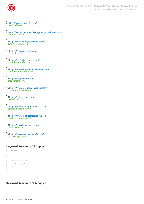

- 8 <https://www.mimiscafe.com/> mimiscafe.com
- 9 <https://www.panerabread.com/en-us/cafe-locator.html> panerabread.com
- 10 <https://www.sunnystreetcafe.com/> sunnystreetcafe.com
- 11 <https://www.rosascafe.com/> rosascafe.com
- 12 <https://cornerbakerycafe.com/> cornerbakerycafe.com
- 13 <https://www.tropicalsmoothiecafe.com/> tropicalsmoothiecafe.com
- 14 <https://dropbarcafe.com/> dropbarcafe.com
- 15 <https://www.cafegeorgebypaula.com/> cafegeorgebypaula.com
- 16 <https://nativefoods.com/> nativefoods.com
- 17 <https://www.cafelagunabeachca.com/> cafelagunabeachca.com
- 18 <https://www.checkscafelouisville.com/> checkscafelouisville.com
- 19 <https://www.biscuitscafe.com/> biscuitscafe.com
- 20 <https://www.peachvalleycafe.com/> peachvalleycafe.com

#### <span id="page-4-0"></span>**Keyword Research: Ad Copies**

US | cafe near me



#### <span id="page-4-1"></span>**Keyword Research: PLA Copies**